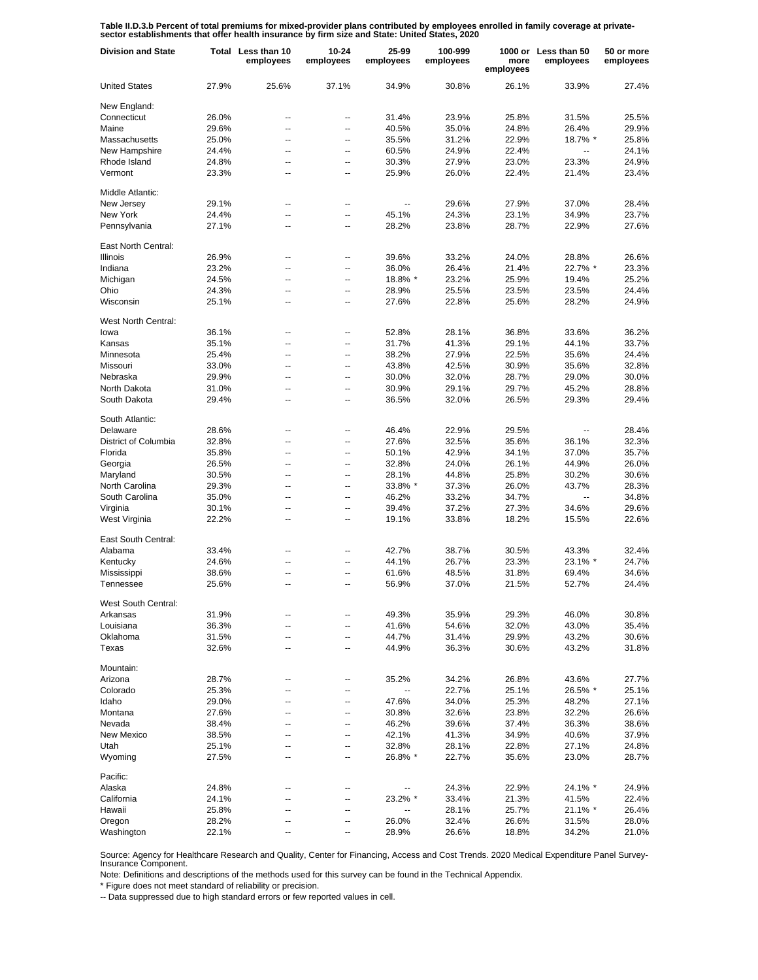Table II.D.3.b Percent of total premiums for mixed-provider plans contributed by employees enrolled in family coverage at private-<br>sector establishments that offer health insurance by firm size and State: United States, 20

| <b>Division and State</b> |       | Total Less than 10<br>employees | $10 - 24$<br>employees | 25-99<br>employees       | 100-999<br>employees | more<br>employees | 1000 or Less than 50<br>employees | 50 or more<br>employees |
|---------------------------|-------|---------------------------------|------------------------|--------------------------|----------------------|-------------------|-----------------------------------|-------------------------|
| <b>United States</b>      | 27.9% | 25.6%                           | 37.1%                  | 34.9%                    | 30.8%                | 26.1%             | 33.9%                             | 27.4%                   |
| New England:              |       |                                 |                        |                          |                      |                   |                                   |                         |
| Connecticut               | 26.0% | --                              | --                     | 31.4%                    | 23.9%                | 25.8%             | 31.5%                             | 25.5%                   |
| Maine                     | 29.6% | --                              | --                     | 40.5%                    | 35.0%                | 24.8%             | 26.4%                             | 29.9%                   |
| Massachusetts             | 25.0% | Ξ.                              | Ξ.                     | 35.5%                    | 31.2%                | 22.9%             | 18.7% *                           | 25.8%                   |
| New Hampshire             | 24.4% | --                              | --                     | 60.5%                    | 24.9%                | 22.4%             | --                                | 24.1%                   |
| Rhode Island              | 24.8% | --                              | --                     | 30.3%                    | 27.9%                | 23.0%             | 23.3%                             | 24.9%                   |
| Vermont                   | 23.3% | --                              | --                     | 25.9%                    | 26.0%                | 22.4%             | 21.4%                             | 23.4%                   |
| Middle Atlantic:          |       |                                 |                        |                          |                      |                   |                                   |                         |
| New Jersev                | 29.1% | --                              | --                     |                          | 29.6%                | 27.9%             | 37.0%                             | 28.4%                   |
| New York                  | 24.4% | --                              | ۰.                     | 45.1%                    | 24.3%                | 23.1%             | 34.9%                             | 23.7%                   |
| Pennsylvania              | 27.1% | $\overline{a}$                  | --                     | 28.2%                    | 23.8%                | 28.7%             | 22.9%                             | 27.6%                   |
| East North Central:       |       |                                 |                        |                          |                      |                   |                                   |                         |
| <b>Illinois</b>           | 26.9% | --                              | --                     | 39.6%                    | 33.2%                | 24.0%             | 28.8%                             | 26.6%                   |
| Indiana                   | 23.2% | $\overline{a}$                  | --                     | 36.0%                    | 26.4%                | 21.4%             | 22.7% *                           | 23.3%                   |
| Michigan                  | 24.5% | --                              | $\overline{a}$         | 18.8% *                  | 23.2%                | 25.9%             | 19.4%                             | 25.2%                   |
| Ohio                      | 24.3% | $\overline{a}$                  | --                     | 28.9%                    | 25.5%                | 23.5%             | 23.5%                             | 24.4%                   |
| Wisconsin                 | 25.1% | --                              | --                     | 27.6%                    | 22.8%                | 25.6%             | 28.2%                             | 24.9%                   |
| West North Central:       |       |                                 |                        |                          |                      |                   |                                   |                         |
| lowa                      | 36.1% | --                              | --                     | 52.8%                    | 28.1%                | 36.8%             | 33.6%                             | 36.2%                   |
| Kansas                    | 35.1% | --                              | --                     | 31.7%                    | 41.3%                | 29.1%             | 44.1%                             | 33.7%                   |
| Minnesota                 | 25.4% | --                              | --                     | 38.2%                    | 27.9%                | 22.5%             | 35.6%                             | 24.4%                   |
| Missouri                  | 33.0% | --                              | --                     | 43.8%                    | 42.5%                | 30.9%             | 35.6%                             | 32.8%                   |
| Nebraska                  | 29.9% | Ξ.                              | --                     | 30.0%                    | 32.0%                | 28.7%             | 29.0%                             | 30.0%                   |
| North Dakota              | 31.0% | --                              | --                     | 30.9%                    | 29.1%                | 29.7%             | 45.2%                             | 28.8%                   |
| South Dakota              | 29.4% | --                              | --                     | 36.5%                    | 32.0%                | 26.5%             | 29.3%                             | 29.4%                   |
| South Atlantic:           |       |                                 |                        |                          |                      |                   |                                   |                         |
| Delaware                  | 28.6% | --                              | --                     | 46.4%                    | 22.9%                | 29.5%             |                                   | 28.4%                   |
| District of Columbia      | 32.8% | $\overline{a}$                  | --                     | 27.6%                    | 32.5%                | 35.6%             | 36.1%                             | 32.3%                   |
| Florida                   | 35.8% | --                              | --                     | 50.1%                    | 42.9%                | 34.1%             | 37.0%                             | 35.7%                   |
| Georgia                   | 26.5% | $\overline{a}$                  | --                     | 32.8%                    | 24.0%                | 26.1%             | 44.9%                             | 26.0%                   |
| Maryland                  | 30.5% | --                              | --                     | 28.1%                    | 44.8%                | 25.8%             | 30.2%                             | 30.6%                   |
| North Carolina            | 29.3% | $\overline{a}$                  | --                     | 33.8% *                  | 37.3%                | 26.0%             | 43.7%                             | 28.3%                   |
| South Carolina            | 35.0% | --                              | $\overline{a}$         | 46.2%                    | 33.2%                | 34.7%             | ÷.                                | 34.8%                   |
| Virginia                  | 30.1% | --                              | $\overline{a}$         | 39.4%                    | 37.2%                | 27.3%             | 34.6%                             | 29.6%                   |
| West Virginia             | 22.2% | --                              | --                     | 19.1%                    | 33.8%                | 18.2%             | 15.5%                             | 22.6%                   |
| East South Central:       |       |                                 |                        |                          |                      |                   |                                   |                         |
| Alabama                   | 33.4% | --                              | --                     | 42.7%                    | 38.7%                | 30.5%             | 43.3%                             | 32.4%                   |
| Kentucky                  | 24.6% | --                              | $\overline{a}$         | 44.1%                    | 26.7%                | 23.3%             | 23.1% *                           | 24.7%                   |
| Mississippi               | 38.6% | $\overline{a}$                  | $\overline{a}$         | 61.6%                    | 48.5%                | 31.8%             | 69.4%                             | 34.6%                   |
| Tennessee                 | 25.6% | --                              | --                     | 56.9%                    | 37.0%                | 21.5%             | 52.7%                             | 24.4%                   |
| West South Central:       |       |                                 |                        |                          |                      |                   |                                   |                         |
| Arkansas                  | 31.9% |                                 |                        | 49.3%                    | 35.9%                | 29.3%             | 46.0%                             | 30.8%                   |
| Louisiana                 | 36.3% | ۵.                              | --                     | 41.6%                    | 54.6%                | 32.0%             | 43.0%                             | 35.4%                   |
| Oklahoma                  | 31.5% | --                              | --                     | 44.7%                    | 31.4%                | 29.9%             | 43.2%                             | 30.6%                   |
| Texas                     | 32.6% | --                              | --                     | 44.9%                    | 36.3%                | 30.6%             | 43.2%                             | 31.8%                   |
| Mountain:                 |       |                                 |                        |                          |                      |                   |                                   |                         |
| Arizona                   | 28.7% |                                 | --                     | 35.2%                    | 34.2%                | 26.8%             | 43.6%                             | 27.7%                   |
| Colorado                  | 25.3% | --                              | --                     | $\overline{\phantom{a}}$ | 22.7%                | 25.1%             | 26.5% *                           | 25.1%                   |
| Idaho                     | 29.0% | $\overline{a}$                  | --                     | 47.6%                    | 34.0%                | 25.3%             | 48.2%                             | 27.1%                   |
| Montana                   | 27.6% | --                              | ⊷                      | 30.8%                    | 32.6%                | 23.8%             | 32.2%                             | 26.6%                   |
| Nevada                    | 38.4% | $\overline{a}$                  | --                     | 46.2%                    | 39.6%                | 37.4%             | 36.3%                             | 38.6%                   |
| New Mexico                | 38.5% | --                              | --                     | 42.1%                    | 41.3%                | 34.9%             | 40.6%                             | 37.9%                   |
| Utah                      | 25.1% | --                              | --                     | 32.8%                    | 28.1%                | 22.8%             | 27.1%                             | 24.8%                   |
| Wyoming                   | 27.5% | --                              | --                     | 26.8% *                  | 22.7%                | 35.6%             | 23.0%                             | 28.7%                   |
| Pacific:                  |       |                                 |                        |                          |                      |                   |                                   |                         |
| Alaska                    | 24.8% | --                              | --                     |                          | 24.3%                | 22.9%             | 24.1% *                           | 24.9%                   |
| California                | 24.1% | --                              | $\overline{a}$         | 23.2% *                  | 33.4%                | 21.3%             | 41.5%                             | 22.4%                   |
| Hawaii                    | 25.8% | --                              | ⊷                      |                          | 28.1%                | 25.7%             | 21.1% *                           | 26.4%                   |
| Oregon                    | 28.2% | --                              | −−                     | 26.0%                    | 32.4%                | 26.6%             | 31.5%                             | 28.0%                   |
| Washington                | 22.1% | --                              | --                     | 28.9%                    | 26.6%                | 18.8%             | 34.2%                             | 21.0%                   |

Source: Agency for Healthcare Research and Quality, Center for Financing, Access and Cost Trends. 2020 Medical Expenditure Panel Survey-Insurance Component.

Note: Definitions and descriptions of the methods used for this survey can be found in the Technical Appendix.

\* Figure does not meet standard of reliability or precision.

-- Data suppressed due to high standard errors or few reported values in cell.